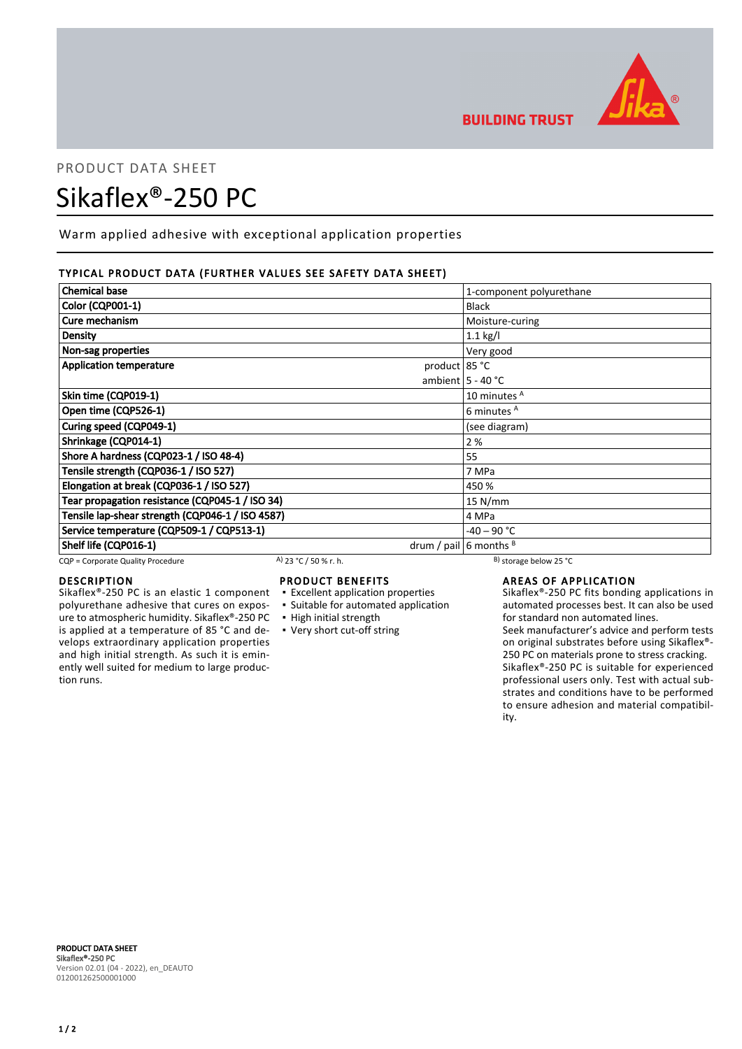

# PRODUCT DATA SHEET

# Sikaflex®-250 PC

Warm applied adhesive with exceptional application properties

# TYPICAL PRODUCT DATA (FURTHER VALUES SEE SAFETY DATA SHEET)

| <b>Chemical base</b>                             | 1-component polyurethane     |
|--------------------------------------------------|------------------------------|
| <b>Color (CQP001-1)</b>                          | <b>Black</b>                 |
| Cure mechanism                                   | Moisture-curing              |
| Density                                          | $1.1$ kg/l                   |
| Non-sag properties                               | Very good                    |
| <b>Application temperature</b><br>product 85 °C  |                              |
|                                                  | ambient $5 - 40$ °C          |
| Skin time (CQP019-1)                             | 10 minutes <sup>A</sup>      |
| Open time (CQP526-1)                             | 6 minutes A                  |
| Curing speed (CQP049-1)                          | (see diagram)                |
| Shrinkage (CQP014-1)                             | 2 %                          |
| Shore A hardness (CQP023-1 / ISO 48-4)           | 55                           |
| Tensile strength (CQP036-1 / ISO 527)            | 7 MPa                        |
| Elongation at break (CQP036-1 / ISO 527)         | 450 %                        |
| Tear propagation resistance (CQP045-1 / ISO 34)  | $15$ N/mm                    |
| Tensile lap-shear strength (CQP046-1 / ISO 4587) | 4 MPa                        |
| Service temperature (CQP509-1 / CQP513-1)        | -40 – 90 °C                  |
| Shelf life (CQP016-1)                            | drum / pail $ 6$ months $ 8$ |

 $CQP =$  Corporate Quality Procedure  $AP = 23 °C / 50 %$  r. h. B) storage below 25 °C

# DESCRIPTION

Sikaflex®-250 PC is an elastic 1 component polyurethane adhesive that cures on exposure to atmospheric humidity. Sikaflex®-250 PC is applied at a temperature of 85 °C and develops extraordinary application properties and high initial strength. As such it is eminently well suited for medium to large production runs.

# PRODUCT BENEFITS

- Excellent application properties
- Suitable for automated application
- High initial strength
- Very short cut-off string

**BUILDING TRUST** 

# AREAS OF APPLICATION

Sikaflex®-250 PC fits bonding applications in automated processes best. It can also be used for standard non automated lines.

Seek manufacturer's advice and perform tests on original substrates before using Sikaflex®- 250 PC on materials prone to stress cracking. Sikaflex®-250 PC is suitable for experienced professional users only. Test with actual substrates and conditions have to be performed to ensure adhesion and material compatibility.